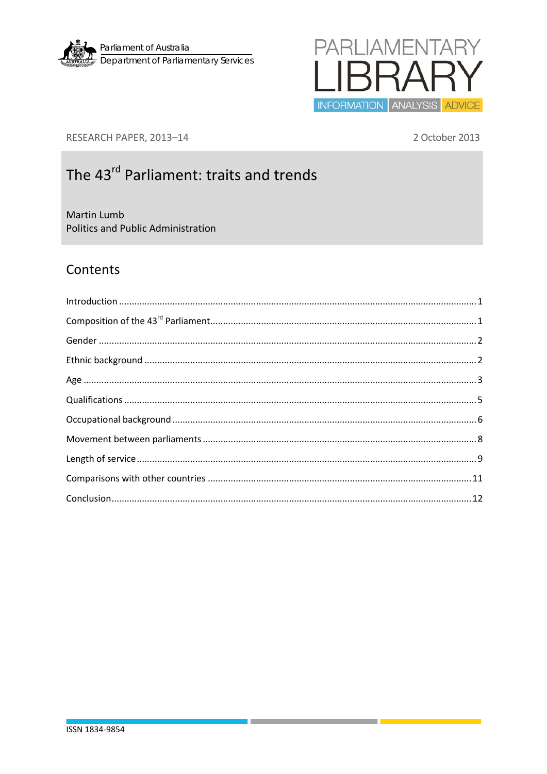



RESEARCH PAPER, 2013-14

2 October 2013

# The 43<sup>rd</sup> Parliament: traits and trends

Martin Lumb Politics and Public Administration

### Contents

| $\label{lem:1} \mbox{Introduction} \,\, \ldots \,\, \ldots \,\, \ldots \,\, \ldots \,\, \ldots \,\, \ldots \,\, \ldots \,\, \ldots \,\, \ldots \,\, \ldots \,\, \ldots \,\, \ldots \,\, \ldots \,\, \ldots \,\, \ldots \,\, \ldots \,\, \ldots \,\, \ldots \,\, \ldots \,\, \ldots \,\, \ldots \,\, \ldots \,\, \ldots \,\, \ldots \,\, \ldots \,\, \ldots \,\, \ldots \,\, \ldots \,\, \ldots \,\, \ldots \,\, \ldots \,\, \ldots \,\, \ldots \,\, \ldots \,\,$ |  |
|------------------------------------------------------------------------------------------------------------------------------------------------------------------------------------------------------------------------------------------------------------------------------------------------------------------------------------------------------------------------------------------------------------------------------------------------------------------|--|
|                                                                                                                                                                                                                                                                                                                                                                                                                                                                  |  |
|                                                                                                                                                                                                                                                                                                                                                                                                                                                                  |  |
|                                                                                                                                                                                                                                                                                                                                                                                                                                                                  |  |
|                                                                                                                                                                                                                                                                                                                                                                                                                                                                  |  |
|                                                                                                                                                                                                                                                                                                                                                                                                                                                                  |  |
|                                                                                                                                                                                                                                                                                                                                                                                                                                                                  |  |
|                                                                                                                                                                                                                                                                                                                                                                                                                                                                  |  |
|                                                                                                                                                                                                                                                                                                                                                                                                                                                                  |  |
|                                                                                                                                                                                                                                                                                                                                                                                                                                                                  |  |
|                                                                                                                                                                                                                                                                                                                                                                                                                                                                  |  |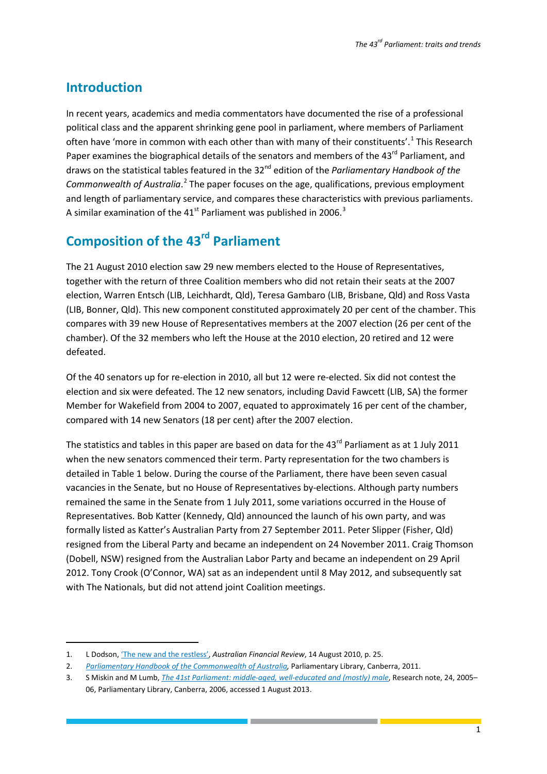### <span id="page-1-0"></span>**Introduction**

1

In recent years, academics and media commentators have documented the rise of a professional political class and the apparent shrinking gene pool in parliament, where members of Parliament often have 'more in common with each other than with many of their constituents'.<sup>[1](#page-1-2)</sup> This Research Paper examines the biographical details of the senators and members of the 43<sup>rd</sup> Parliament, and draws on the statistical tables featured in the 32nd edition of the *Parliamentary Handbook of the*  Commonwealth of Australia.<sup>[2](#page-1-3)</sup> The paper focuses on the age, qualifications, previous employment and length of parliamentary service, and compares these characteristics with previous parliaments. A similar examination of the  $41<sup>st</sup>$  Parliament was published in 2006.<sup>[3](#page-1-4)</sup>

## <span id="page-1-1"></span>**Composition of the 43rd Parliament**

The 21 August 2010 election saw 29 new members elected to the House of Representatives, together with the return of three Coalition members who did not retain their seats at the 2007 election, Warren Entsch (LIB, Leichhardt, Qld), Teresa Gambaro (LIB, Brisbane, Qld) and Ross Vasta (LIB, Bonner, Qld). This new component constituted approximately 20 per cent of the chamber. This compares with 39 new House of Representatives members at the 2007 election (26 per cent of the chamber). Of the 32 members who left the House at the 2010 election, 20 retired and 12 were defeated.

Of the 40 senators up for re-election in 2010, all but 12 were re-elected. Six did not contest the election and six were defeated. The 12 new senators, including David Fawcett (LIB, SA) the former Member for Wakefield from 2004 to 2007, equated to approximately 16 per cent of the chamber, compared with 14 new Senators (18 per cent) after the 2007 election.

The statistics and tables in this paper are based on data for the  $43^{rd}$  Parliament as at 1 July 2011 when the new senators commenced their term. Party representation for the two chambers is detailed in Table 1 below. During the course of the Parliament, there have been seven casual vacancies in the Senate, but no House of Representatives by-elections. Although party numbers remained the same in the Senate from 1 July 2011, some variations occurred in the House of Representatives. Bob Katter (Kennedy, Qld) announced the launch of his own party, and was formally listed as Katter's Australian Party from 27 September 2011. Peter Slipper (Fisher, Qld) resigned from the Liberal Party and became an independent on 24 November 2011. Craig Thomson (Dobell, NSW) resigned from the Australian Labor Party and became an independent on 29 April 2012. Tony Crook (O'Connor, WA) sat as an independent until 8 May 2012, and subsequently sat with The Nationals, but did not attend joint Coalition meetings.

<span id="page-1-2"></span><sup>1.</sup> L Dodson[, 'The new and the restless',](http://parlinfo.aph.gov.au/parlInfo/search/display/display.w3p;query=Id%3A%22media%2Fpressclp%2FDTMX6%22) *Australian Financial Review*, 14 August 2010, p. 25.

<span id="page-1-3"></span><sup>2.</sup> *[Parliamentary Handbook of the Commonwealth of Australia,](http://www.aph.gov.au/About_Parliament/Parliamentary_Departments/Parliamentary_Library/Parliamentary_Handbook)* Parliamentary Library, Canberra, 2011.

<span id="page-1-4"></span><sup>3.</sup> S Miskin and M Lumb, *[The 41st Parliament: middle-aged, well-educated and \(mostly\) male](http://www.aph.gov.au/binaries/library/pubs/rn/2005-06/06rn24.pdf)*, Research note, 24, 2005– 06, Parliamentary Library, Canberra, 2006, accessed 1 August 2013.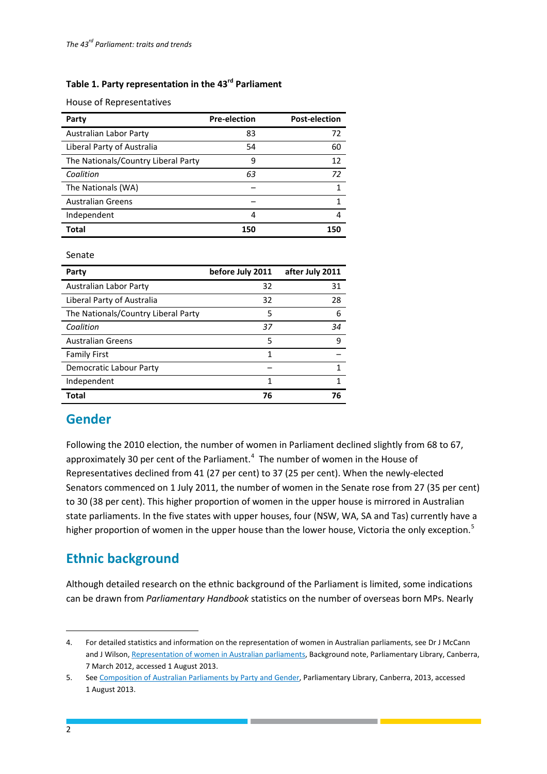#### **Table 1. Party representation in the 43rd Parliament**

House of Representatives

| Party                               | <b>Pre-election</b> | <b>Post-election</b> |
|-------------------------------------|---------------------|----------------------|
| Australian Labor Party              | 83                  | 72                   |
| Liberal Party of Australia          | 54                  | 60                   |
| The Nationals/Country Liberal Party | 9                   | 12                   |
| Coalition                           | 63                  | 72                   |
| The Nationals (WA)                  |                     |                      |
| <b>Australian Greens</b>            |                     |                      |
| Independent                         | 4                   | Δ                    |
| Total                               | 150                 |                      |

Senate

| Party                               | before July 2011 | after July 2011 |
|-------------------------------------|------------------|-----------------|
| Australian Labor Party              | 32               | 31              |
| Liberal Party of Australia          | 32               | 28              |
| The Nationals/Country Liberal Party | 5                | 6               |
| Coalition                           | 37               | 34              |
| <b>Australian Greens</b>            | 5                | q               |
| <b>Family First</b>                 | 1                |                 |
| Democratic Labour Party             |                  |                 |
| Independent                         | 1                | 1               |
| <b>Total</b>                        | 76               | 76              |

### <span id="page-2-0"></span>**Gender**

Following the 2010 election, the number of women in Parliament declined slightly from 68 to 67, approximately 30 per cent of the Parliament. $4$  The number of women in the House of Representatives declined from 41 (27 per cent) to 37 (25 per cent). When the newly-elected Senators commenced on 1 July 2011, the number of women in the Senate rose from 27 (35 per cent) to 30 (38 per cent). This higher proportion of women in the upper house is mirrored in Australian state parliaments. In the five states with upper houses, four (NSW, WA, SA and Tas) currently have a higher proportion of women in the upper house than the lower house, Victoria the only exception.<sup>[5](#page-2-3)</sup>

### <span id="page-2-1"></span>**Ethnic background**

Although detailed research on the ethnic background of the Parliament is limited, some indications can be drawn from *Parliamentary Handbook* statistics on the number of overseas born MPs. Nearly

<span id="page-2-2"></span><sup>4.</sup> For detailed statistics and information on the representation of women in Australian parliaments, see Dr J McCann and J Wilson[, Representation of women in Australian parliaments,](http://parlinfo.aph.gov.au/parlInfo/download/library/prspub/1481963/upload_binary/1481963.pdf;fileType=application%2Fpdf#search=%22library/prspub/1481963%22) Background note, Parliamentary Library, Canberra, 7 March 2012, accessed 1 August 2013.

<span id="page-2-3"></span><sup>5.</sup> Se[e Composition of Australian Parliaments by Party and Gender,](http://www.aph.gov.au/~/media/05%20About%20Parliament/54%20Parliamentary%20Depts/544%20Parliamentary%20Library/Browse%20by%20topic/Currentwomen.ashx) Parliamentary Library, Canberra, 2013, accessed 1 August 2013.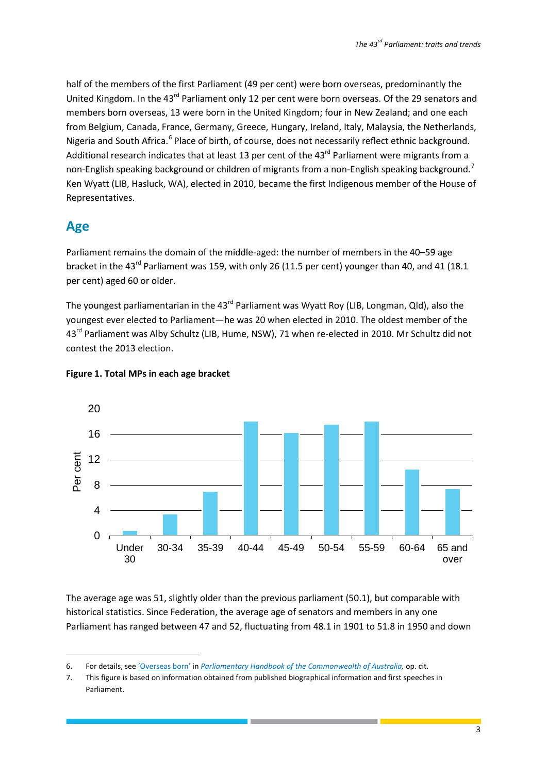half of the members of the first Parliament (49 per cent) were born overseas, predominantly the United Kingdom. In the 43<sup>rd</sup> Parliament only 12 per cent were born overseas. Of the 29 senators and members born overseas, 13 were born in the United Kingdom; four in New Zealand; and one each from Belgium, Canada, France, Germany, Greece, Hungary, Ireland, Italy, Malaysia, the Netherlands, Nigeria and South Africa.<sup>[6](#page-3-1)</sup> Place of birth, of course, does not necessarily reflect ethnic background. Additional research indicates that at least 13 per cent of the 43<sup>rd</sup> Parliament were migrants from a non-English speaking background or children of migrants from a non-English speaking background.<sup>[7](#page-3-2)</sup> Ken Wyatt (LIB, Hasluck, WA), elected in 2010, became the first Indigenous member of the House of Representatives.

### <span id="page-3-0"></span>**Age**

**.** 

Parliament remains the domain of the middle-aged: the number of members in the 40–59 age bracket in the 43<sup>rd</sup> Parliament was 159, with only 26 (11.5 per cent) younger than 40, and 41 (18.1 per cent) aged 60 or older.

The youngest parliamentarian in the 43<sup>rd</sup> Parliament was Wyatt Roy (LIB, Longman, Qld), also the youngest ever elected to Parliament—he was 20 when elected in 2010. The oldest member of the 43<sup>rd</sup> Parliament was Alby Schultz (LIB, Hume, NSW), 71 when re-elected in 2010. Mr Schultz did not contest the 2013 election.



#### **Figure 1. Total MPs in each age bracket**

The average age was 51, slightly older than the previous parliament (50.1), but comparable with historical statistics. Since Federation, the average age of senators and members in any one Parliament has ranged between 47 and 52, fluctuating from 48.1 in 1901 to 51.8 in 1950 and down

<span id="page-3-1"></span><sup>6.</sup> For details, se[e 'Overseas born'](http://parlinfo.aph.gov.au/parlInfo/search/display/display.w3p;query=Id%3A%22handbook%2Fnewhandbook%2F2011-10-13%2F0029%22) in *[Parliamentary Handbook of the Commonwealth of Australia,](http://www.aph.gov.au/About_Parliament/Parliamentary_Departments/Parliamentary_Library/Parliamentary_Handbook)* op. cit.

<span id="page-3-2"></span><sup>7.</sup> This figure is based on information obtained from published biographical information and first speeches in Parliament.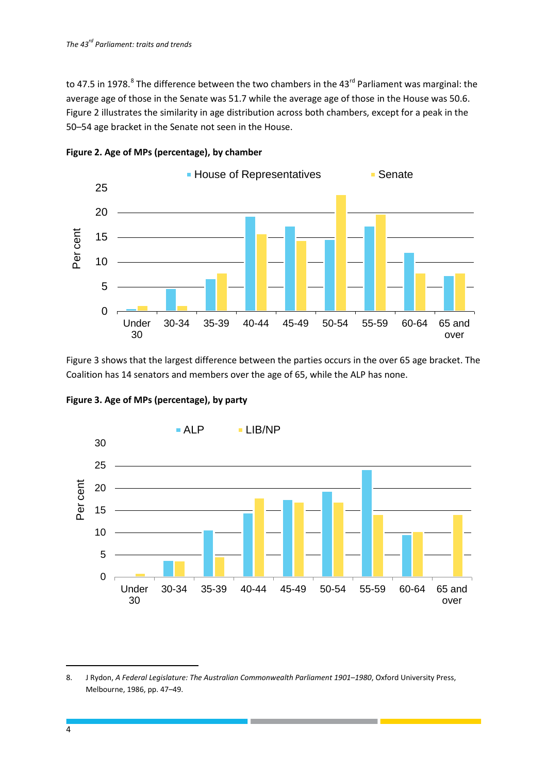to 47.5 in 197[8](#page-4-0).<sup>8</sup> The difference between the two chambers in the 43<sup>rd</sup> Parliament was marginal: the average age of those in the Senate was 51.7 while the average age of those in the House was 50.6. Figure 2 illustrates the similarity in age distribution across both chambers, except for a peak in the 50–54 age bracket in the Senate not seen in the House.



**Figure 2. Age of MPs (percentage), by chamber** 

Figure 3 shows that the largest difference between the parties occurs in the over 65 age bracket. The Coalition has 14 senators and members over the age of 65, while the ALP has none.



**Figure 3. Age of MPs (percentage), by party**

<span id="page-4-0"></span><sup>8.</sup> J Rydon, *A Federal Legislature: The Australian Commonwealth Parliament 1901–1980*, Oxford University Press, Melbourne, 1986, pp. 47–49.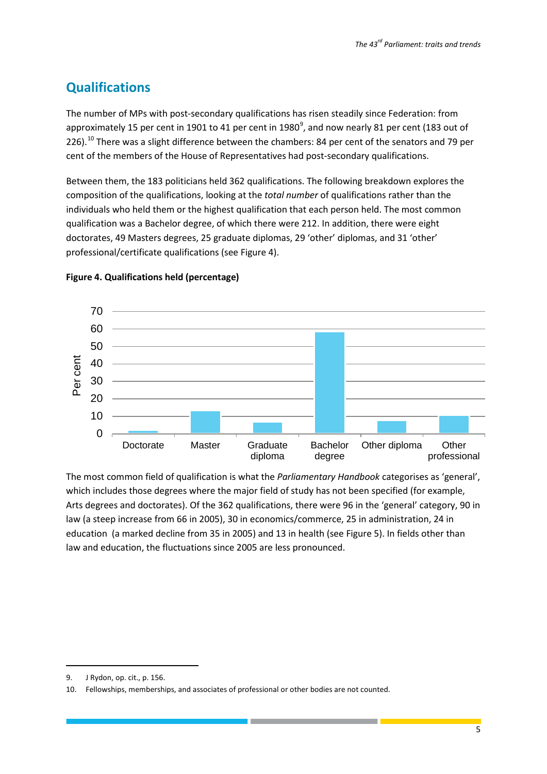### <span id="page-5-0"></span>**Qualifications**

The number of MPs with post-secondary qualifications has risen steadily since Federation: from approximately 15 per cent in 1[9](#page-5-1)01 to 41 per cent in 1980<sup>9</sup>, and now nearly 81 per cent (183 out of 226).<sup>[10](#page-5-2)</sup> There was a slight difference between the chambers: 84 per cent of the senators and 79 per cent of the members of the House of Representatives had post-secondary qualifications.

Between them, the 183 politicians held 362 qualifications. The following breakdown explores the composition of the qualifications, looking at the *total number* of qualifications rather than the individuals who held them or the highest qualification that each person held. The most common qualification was a Bachelor degree, of which there were 212. In addition, there were eight doctorates, 49 Masters degrees, 25 graduate diplomas, 29 'other' diplomas, and 31 'other' professional/certificate qualifications (see Figure 4).



#### **Figure 4. Qualifications held (percentage)**

The most common field of qualification is what the *Parliamentary Handbook* categorises as 'general', which includes those degrees where the major field of study has not been specified (for example, Arts degrees and doctorates). Of the 362 qualifications, there were 96 in the 'general' category, 90 in law (a steep increase from 66 in 2005), 30 in economics/commerce, 25 in administration, 24 in education (a marked decline from 35 in 2005) and 13 in health (see Figure 5). In fields other than law and education, the fluctuations since 2005 are less pronounced.

<span id="page-5-1"></span><sup>9.</sup> J Rydon, op. cit., p. 156.

<span id="page-5-2"></span><sup>10.</sup> Fellowships, memberships, and associates of professional or other bodies are not counted.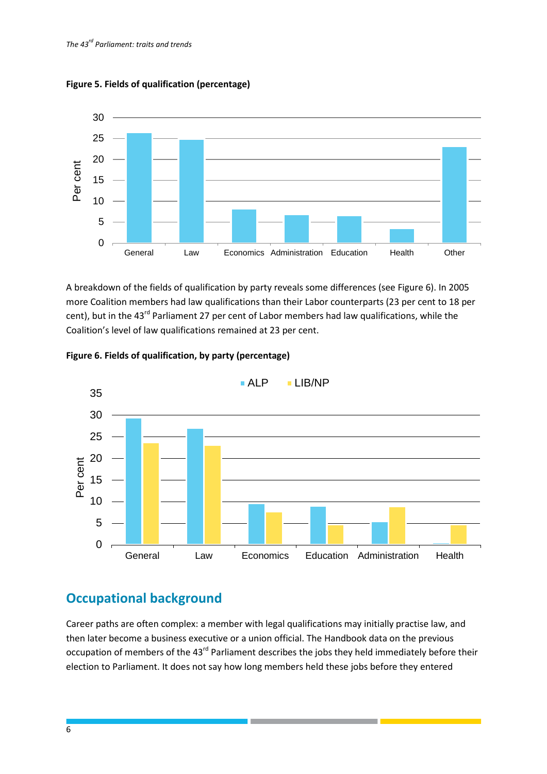

**Figure 5. Fields of qualification (percentage)**

A breakdown of the fields of qualification by party reveals some differences (see Figure 6). In 2005 more Coalition members had law qualifications than their Labor counterparts (23 per cent to 18 per cent), but in the 43<sup>rd</sup> Parliament 27 per cent of Labor members had law qualifications, while the Coalition's level of law qualifications remained at 23 per cent.





### <span id="page-6-0"></span>**Occupational background**

Career paths are often complex: a member with legal qualifications may initially practise law, and then later become a business executive or a union official. The Handbook data on the previous occupation of members of the 43<sup>rd</sup> Parliament describes the jobs they held immediately before their election to Parliament. It does not say how long members held these jobs before they entered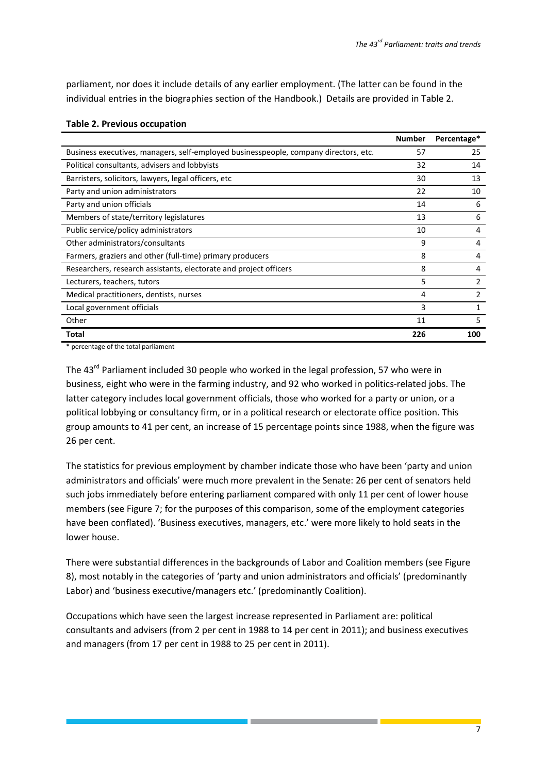parliament, nor does it include details of any earlier employment. (The latter can be found in the individual entries in the biographies section of the Handbook.) Details are provided in Table 2.

|                                                                                      | <b>Number</b> | Percentage* |
|--------------------------------------------------------------------------------------|---------------|-------------|
| Business executives, managers, self-employed businesspeople, company directors, etc. | 57            | 25          |
| Political consultants, advisers and lobbyists                                        | 32            | 14          |
| Barristers, solicitors, lawyers, legal officers, etc.                                | 30            | 13          |
| Party and union administrators                                                       | 22            | 10          |
| Party and union officials                                                            | 14            | 6           |
| Members of state/territory legislatures                                              | 13            | 6           |
| Public service/policy administrators                                                 | 10            | 4           |
| Other administrators/consultants                                                     | 9             | 4           |
| Farmers, graziers and other (full-time) primary producers                            | 8             | 4           |
| Researchers, research assistants, electorate and project officers                    | 8             | 4           |
| Lecturers, teachers, tutors                                                          | 5             | 2           |
| Medical practitioners, dentists, nurses                                              | 4             |             |
| Local government officials                                                           | 3             |             |
| Other                                                                                | 11            | 5           |
| Total                                                                                | 226           | 100         |

#### **Table 2. Previous occupation**

\* percentage of the total parliament

The 43<sup>rd</sup> Parliament included 30 people who worked in the legal profession, 57 who were in business, eight who were in the farming industry, and 92 who worked in politics-related jobs. The latter category includes local government officials, those who worked for a party or union, or a political lobbying or consultancy firm, or in a political research or electorate office position. This group amounts to 41 per cent, an increase of 15 percentage points since 1988, when the figure was 26 per cent.

The statistics for previous employment by chamber indicate those who have been 'party and union administrators and officials' were much more prevalent in the Senate: 26 per cent of senators held such jobs immediately before entering parliament compared with only 11 per cent of lower house members (see Figure 7; for the purposes of this comparison, some of the employment categories have been conflated). 'Business executives, managers, etc.' were more likely to hold seats in the lower house.

There were substantial differences in the backgrounds of Labor and Coalition members (see Figure 8), most notably in the categories of 'party and union administrators and officials' (predominantly Labor) and 'business executive/managers etc.' (predominantly Coalition).

Occupations which have seen the largest increase represented in Parliament are: political consultants and advisers (from 2 per cent in 1988 to 14 per cent in 2011); and business executives and managers (from 17 per cent in 1988 to 25 per cent in 2011).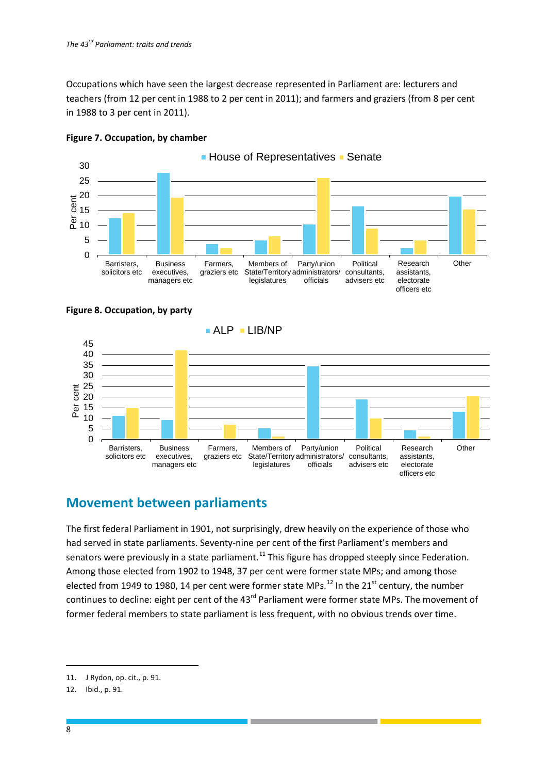Occupations which have seen the largest decrease represented in Parliament are: lecturers and teachers (from 12 per cent in 1988 to 2 per cent in 2011); and farmers and graziers (from 8 per cent in 1988 to 3 per cent in 2011).









### <span id="page-8-0"></span>**Movement between parliaments**

The first federal Parliament in 1901, not surprisingly, drew heavily on the experience of those who had served in state parliaments. Seventy-nine per cent of the first Parliament's members and senators were previously in a state parliament.<sup>[11](#page-8-1)</sup> This figure has dropped steeply since Federation. Among those elected from 1902 to 1948, 37 per cent were former state MPs; and among those elected from 1949 to 1980, 14 per cent were former state MPs. $^{12}$  $^{12}$  $^{12}$  In the 21<sup>st</sup> century, the number continues to decline: eight per cent of the 43<sup>rd</sup> Parliament were former state MPs. The movement of former federal members to state parliament is less frequent, with no obvious trends over time.

<span id="page-8-1"></span><sup>11.</sup> J Rydon, op. cit., p. 91.

<span id="page-8-2"></span><sup>12.</sup> Ibid., p. 91.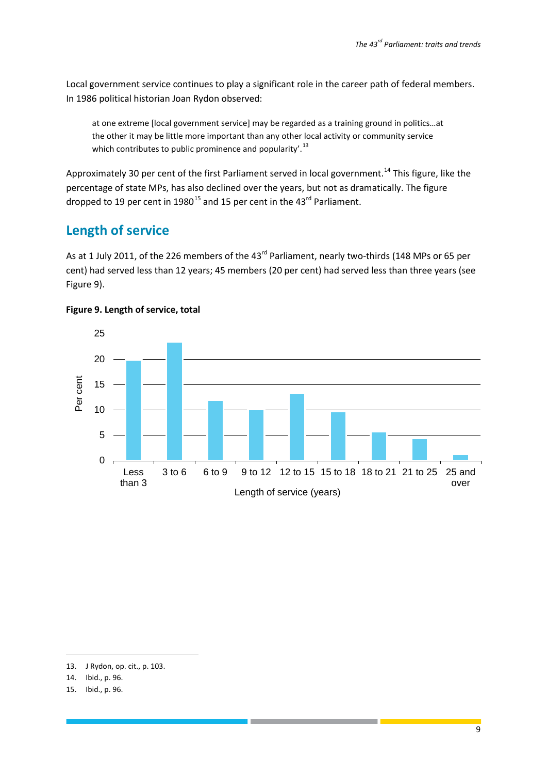Local government service continues to play a significant role in the career path of federal members. In 1986 political historian Joan Rydon observed:

at one extreme [local government service] may be regarded as a training ground in politics…at the other it may be little more important than any other local activity or community service which contributes to public prominence and popularity'.<sup>[13](#page-9-1)</sup>

Approximately 30 per cent of the first Parliament served in local government.<sup>[14](#page-9-2)</sup> This figure, like the percentage of state MPs, has also declined over the years, but not as dramatically. The figure dropped to 19 per cent in 1980<sup>[15](#page-9-3)</sup> and 15 per cent in the 43<sup>rd</sup> Parliament.

### <span id="page-9-0"></span>**Length of service**

As at 1 July 2011, of the 226 members of the 43<sup>rd</sup> Parliament, nearly two-thirds (148 MPs or 65 per cent) had served less than 12 years; 45 members (20 per cent) had served less than three years (see Figure 9).



#### **Figure 9. Length of service, total**

<span id="page-9-1"></span><sup>13.</sup> J Rydon, op. cit., p. 103.

<span id="page-9-2"></span><sup>14.</sup> Ibid., p. 96.

<span id="page-9-3"></span><sup>15.</sup> Ibid., p. 96.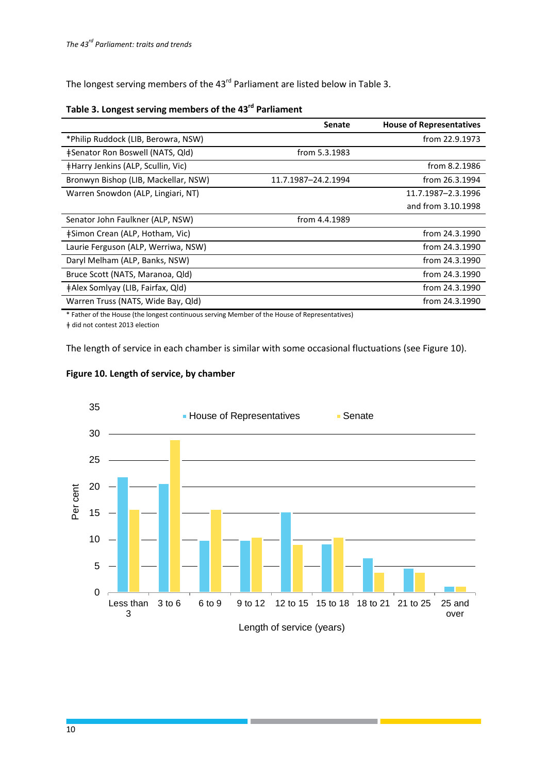The longest serving members of the 43<sup>rd</sup> Parliament are listed below in Table 3.

### **Table 3. Longest serving members of the 43rd Parliament**

|                                           | <b>Senate</b>       | <b>House of Representatives</b> |
|-------------------------------------------|---------------------|---------------------------------|
| *Philip Ruddock (LIB, Berowra, NSW)       |                     | from 22.9.1973                  |
| ‡Senator Ron Boswell (NATS, Qld)          | from 5.3.1983       |                                 |
| <b>‡Harry Jenkins (ALP, Scullin, Vic)</b> |                     | from 8.2.1986                   |
| Bronwyn Bishop (LIB, Mackellar, NSW)      | 11.7.1987-24.2.1994 | from 26.3.1994                  |
| Warren Snowdon (ALP, Lingiari, NT)        |                     | 11.7.1987-2.3.1996              |
|                                           |                     | and from 3.10.1998              |
| Senator John Faulkner (ALP, NSW)          | from 4.4.1989       |                                 |
| ‡Simon Crean (ALP, Hotham, Vic)           |                     | from 24.3.1990                  |
| Laurie Ferguson (ALP, Werriwa, NSW)       |                     | from 24.3.1990                  |
| Daryl Melham (ALP, Banks, NSW)            |                     | from 24.3.1990                  |
| Bruce Scott (NATS, Maranoa, Qld)          |                     | from 24.3.1990                  |
| ‡Alex Somlyay (LIB, Fairfax, Qld)         |                     | from 24.3.1990                  |
| Warren Truss (NATS, Wide Bay, Qld)        |                     | from 24.3.1990                  |

\* Father of the House (the longest continuous serving Member of the House of Representatives) ǂ did not contest 2013 election

The length of service in each chamber is similar with some occasional fluctuations (see Figure 10).





a provinci

and the state of the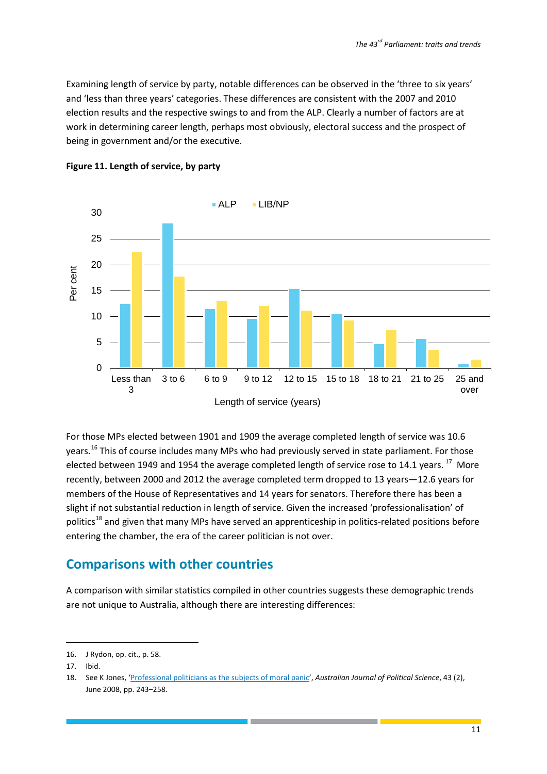Examining length of service by party, notable differences can be observed in the 'three to six years' and 'less than three years' categories. These differences are consistent with the 2007 and 2010 election results and the respective swings to and from the ALP. Clearly a number of factors are at work in determining career length, perhaps most obviously, electoral success and the prospect of being in government and/or the executive.





For those MPs elected between 1901 and 1909 the average completed length of service was 10.6 years.<sup>[16](#page-11-1)</sup> This of course includes many MPs who had previously served in state parliament. For those elected between 1949 and 1954 the average completed length of service rose to 14.1 years.<sup>[17](#page-11-2)</sup> More recently, between 2000 and 2012 the average completed term dropped to 13 years—12.6 years for members of the House of Representatives and 14 years for senators. Therefore there has been a slight if not substantial reduction in length of service. Given the increased 'professionalisation' of politics<sup>[18](#page-11-3)</sup> and given that many MPs have served an apprenticeship in politics-related positions before entering the chamber, the era of the career politician is not over.

### <span id="page-11-0"></span>**Comparisons with other countries**

A comparison with similar statistics compiled in other countries suggests these demographic trends are not unique to Australia, although there are interesting differences:

1

<span id="page-11-1"></span><sup>16.</sup> J Rydon, op. cit., p. 58.

<span id="page-11-2"></span><sup>17.</sup> Ibid.

<span id="page-11-3"></span><sup>18.</sup> See K Jones, ['Professional politicians as the subjects of moral panic',](http://parlinfo.aph.gov.au/parlInfo/download/library/jrnart/USWQ6/upload_binary/uswq62.pdf;fileType=application%2Fpdf#search=%22library/jrnart/USWQ6%22) *Australian Journal of Political Science*, 43 (2), June 2008, pp. 243–258.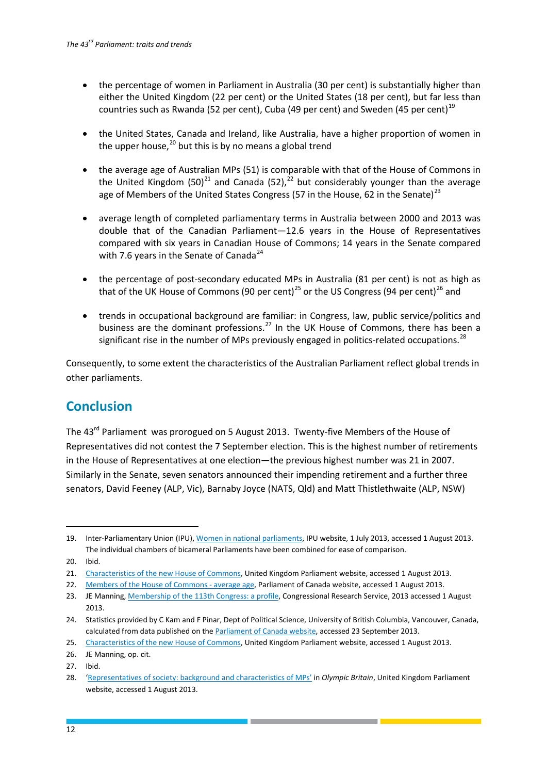- the percentage of women in Parliament in Australia (30 per cent) is substantially higher than either the United Kingdom (22 per cent) or the United States (18 per cent), but far less than countries such as Rwanda (52 per cent), Cuba (49 per cent) and Sweden (45 per cent)<sup>[19](#page-12-1)</sup>
- the United States, Canada and Ireland, like Australia, have a higher proportion of women in the upper house, $^{20}$  $^{20}$  $^{20}$  but this is by no means a global trend
- the average age of Australian MPs (51) is comparable with that of the House of Commons in the United Kingdom  $(50)^{21}$  $(50)^{21}$  $(50)^{21}$  and Canada  $(52)^{22}$  $(52)^{22}$  $(52)^{22}$  but considerably younger than the average age of Members of the United States Congress (57 in the House, 62 in the Senate)<sup>[23](#page-12-5)</sup>
- average length of completed parliamentary terms in Australia between 2000 and 2013 was double that of the Canadian Parliament—12.6 years in the House of Representatives compared with six years in Canadian House of Commons; 14 years in the Senate compared with 7.6 years in the Senate of Canada<sup>[24](#page-12-6)</sup>
- the percentage of post-secondary educated MPs in Australia (81 per cent) is not as high as that of the UK House of Commons (90 per cent)<sup>[25](#page-12-7)</sup> or the US Congress (94 per cent)<sup>[26](#page-12-8)</sup> and
- trends in occupational background are familiar: in Congress, law, public service/politics and business are the dominant professions.<sup>[27](#page-12-9)</sup> In the UK House of Commons, there has been a significant rise in the number of MPs previously engaged in politics-related occupations.<sup>[28](#page-12-10)</sup>

Consequently, to some extent the characteristics of the Australian Parliament reflect global trends in other parliaments.

### <span id="page-12-0"></span>**Conclusion**

The 43<sup>rd</sup> Parliament was prorogued on 5 August 2013. Twenty-five Members of the House of Representatives did not contest the 7 September election. This is the highest number of retirements in the House of Representatives at one election—the previous highest number was 21 in 2007. Similarly in the Senate, seven senators announced their impending retirement and a further three senators, David Feeney (ALP, Vic), Barnaby Joyce (NATS, Qld) and Matt Thistlethwaite (ALP, NSW)

-

<span id="page-12-1"></span><sup>19.</sup> Inter-Parliamentary Union (IPU)[, Women in national parliaments,](http://www.ipu.org/wmn-e/classif.htm) IPU website, 1 July 2013, accessed 1 August 2013. The individual chambers of bicameral Parliaments have been combined for ease of comparison.

<span id="page-12-2"></span><sup>20.</sup> Ibid.

<span id="page-12-3"></span><sup>21.</sup> Characteristics of the [new House of Commons,](http://www.parliament.uk/business/publications/research/key-issues-for-the-new-parliament/the-new-parliament/characteristics-of-the-new-house-of-commons/) United Kingdom Parliament website, accessed 1 August 2013.

<span id="page-12-4"></span><sup>22.</sup> [Members of the House of Commons -](http://www.parl.gc.ca/Parlinfo/lists/ParliamentarianAge.aspx?Chamber=03d93c58-f843-49b3-9653-84275c23f3fb&Menu=HOC-Bio) average age, Parliament of Canada website, accessed 1 August 2013.

<span id="page-12-5"></span><sup>23.</sup> JE Manning[, Membership of the 113th Congress: a profile,](http://www.fas.org/sgp/crs/misc/R42964.pdf) Congressional Research Service, 2013 accessed 1 August 2013.

<span id="page-12-6"></span><sup>24.</sup> Statistics provided by C Kam and F Pinar, Dept of Political Science, University of British Columbia, Vancouver, Canada, calculated from data published on the **Parliament of Canada website**, accessed 23 September 2013.

<span id="page-12-7"></span><sup>25.</sup> [Characteristics of the new House of Commons,](http://www.parliament.uk/business/publications/research/key-issues-for-the-new-parliament/the-new-parliament/characteristics-of-the-new-house-of-commons/) United Kingdom Parliament website, accessed 1 August 2013.

<span id="page-12-8"></span><sup>26.</sup> JE Manning, op. cit.

<span id="page-12-9"></span><sup>27.</sup> Ibid.

<span id="page-12-10"></span><sup>28.</sup> ['Representatives of society: background and characteristics of MPs'](http://www.parliament.uk/business/publications/research/olympic-britain/parliament-and-elections/representatives-of-society/) in *Olympic Britain*, United Kingdom Parliament website, accessed 1 August 2013.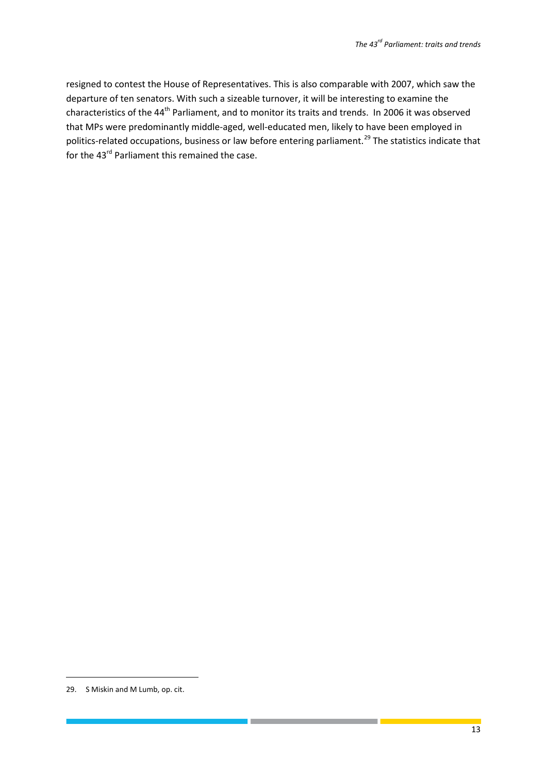resigned to contest the House of Representatives. This is also comparable with 2007, which saw the departure of ten senators. With such a sizeable turnover, it will be interesting to examine the characteristics of the 44<sup>th</sup> Parliament, and to monitor its traits and trends. In 2006 it was observed that MPs were predominantly middle-aged, well-educated men, likely to have been employed in politics-related occupations, business or law before entering parliament.<sup>[29](#page-13-0)</sup> The statistics indicate that for the 43<sup>rd</sup> Parliament this remained the case.

1

<span id="page-13-0"></span><sup>29.</sup> S Miskin and M Lumb, op. cit.